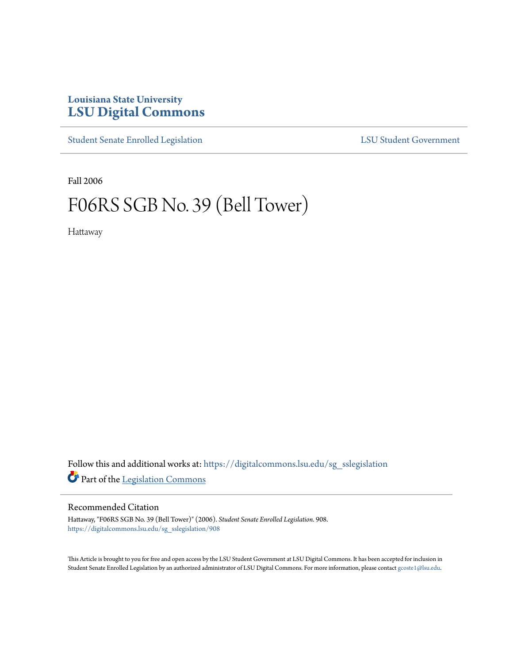## **Louisiana State University [LSU Digital Commons](https://digitalcommons.lsu.edu?utm_source=digitalcommons.lsu.edu%2Fsg_sslegislation%2F908&utm_medium=PDF&utm_campaign=PDFCoverPages)**

[Student Senate Enrolled Legislation](https://digitalcommons.lsu.edu/sg_sslegislation?utm_source=digitalcommons.lsu.edu%2Fsg_sslegislation%2F908&utm_medium=PDF&utm_campaign=PDFCoverPages) [LSU Student Government](https://digitalcommons.lsu.edu/sg?utm_source=digitalcommons.lsu.edu%2Fsg_sslegislation%2F908&utm_medium=PDF&utm_campaign=PDFCoverPages)

Fall 2006

## F06RS SGB No. 39 (Bell Tower)

Hattaway

Follow this and additional works at: [https://digitalcommons.lsu.edu/sg\\_sslegislation](https://digitalcommons.lsu.edu/sg_sslegislation?utm_source=digitalcommons.lsu.edu%2Fsg_sslegislation%2F908&utm_medium=PDF&utm_campaign=PDFCoverPages) Part of the [Legislation Commons](http://network.bepress.com/hgg/discipline/859?utm_source=digitalcommons.lsu.edu%2Fsg_sslegislation%2F908&utm_medium=PDF&utm_campaign=PDFCoverPages)

## Recommended Citation

Hattaway, "F06RS SGB No. 39 (Bell Tower)" (2006). *Student Senate Enrolled Legislation*. 908. [https://digitalcommons.lsu.edu/sg\\_sslegislation/908](https://digitalcommons.lsu.edu/sg_sslegislation/908?utm_source=digitalcommons.lsu.edu%2Fsg_sslegislation%2F908&utm_medium=PDF&utm_campaign=PDFCoverPages)

This Article is brought to you for free and open access by the LSU Student Government at LSU Digital Commons. It has been accepted for inclusion in Student Senate Enrolled Legislation by an authorized administrator of LSU Digital Commons. For more information, please contact [gcoste1@lsu.edu.](mailto:gcoste1@lsu.edu)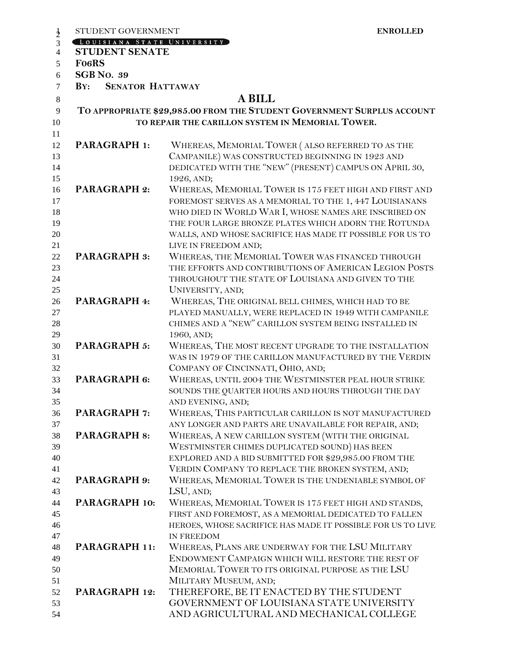|                | STUDENT GOVERNMENT                                                     | <b>ENROLLED</b>                                                           |  |  |  |  |
|----------------|------------------------------------------------------------------------|---------------------------------------------------------------------------|--|--|--|--|
| $\frac{1}{2}$  | LOUISIANA STATE UNIVERSITY                                             |                                                                           |  |  |  |  |
| $\overline{4}$ | <b>STUDENT SENATE</b>                                                  |                                                                           |  |  |  |  |
| 5              | <b>FO6RS</b>                                                           |                                                                           |  |  |  |  |
| 6              | <b>SGB No. 39</b>                                                      |                                                                           |  |  |  |  |
| $\tau$         | <b>SENATOR HATTAWAY</b><br>BY:                                         |                                                                           |  |  |  |  |
| 8              | <b>A BILL</b>                                                          |                                                                           |  |  |  |  |
| 9              | TO APPROPRIATE \$29,985.00 FROM THE STUDENT GOVERNMENT SURPLUS ACCOUNT |                                                                           |  |  |  |  |
| 10             | TO REPAIR THE CARILLON SYSTEM IN MEMORIAL TOWER.                       |                                                                           |  |  |  |  |
| 11             |                                                                        |                                                                           |  |  |  |  |
| 12             | <b>PARAGRAPH 1:</b>                                                    | WHEREAS, MEMORIAL TOWER (ALSO REFERRED TO AS THE                          |  |  |  |  |
| 13             |                                                                        | CAMPANILE) WAS CONSTRUCTED BEGINNING IN 1923 AND                          |  |  |  |  |
| 14             |                                                                        | DEDICATED WITH THE "NEW" (PRESENT) CAMPUS ON APRIL 30,                    |  |  |  |  |
| 15             |                                                                        | 1926, AND;                                                                |  |  |  |  |
| 16             | <b>PARAGRAPH 2:</b>                                                    | WHEREAS, MEMORIAL TOWER IS 175 FEET HIGH AND FIRST AND                    |  |  |  |  |
| 17             |                                                                        | FOREMOST SERVES AS A MEMORIAL TO THE 1, 447 LOUISIANANS                   |  |  |  |  |
| 18             |                                                                        | WHO DIED IN WORLD WAR I, WHOSE NAMES ARE INSCRIBED ON                     |  |  |  |  |
| 19             |                                                                        | THE FOUR LARGE BRONZE PLATES WHICH ADORN THE ROTUNDA                      |  |  |  |  |
| 20             |                                                                        | WALLS, AND WHOSE SACRIFICE HAS MADE IT POSSIBLE FOR US TO                 |  |  |  |  |
| 21             |                                                                        | LIVE IN FREEDOM AND;                                                      |  |  |  |  |
| 22             | <b>PARAGRAPH 3:</b>                                                    | WHEREAS, THE MEMORIAL TOWER WAS FINANCED THROUGH                          |  |  |  |  |
| 23             |                                                                        | THE EFFORTS AND CONTRIBUTIONS OF AMERICAN LEGION POSTS                    |  |  |  |  |
| 24             |                                                                        | THROUGHOUT THE STATE OF LOUISIANA AND GIVEN TO THE                        |  |  |  |  |
| 25             |                                                                        | UNIVERSITY, AND;                                                          |  |  |  |  |
| 26             | PARAGRAPH 4:                                                           | WHEREAS, THE ORIGINAL BELL CHIMES, WHICH HAD TO BE                        |  |  |  |  |
| 27             |                                                                        | PLAYED MANUALLY, WERE REPLACED IN 1949 WITH CAMPANILE                     |  |  |  |  |
| 28             |                                                                        | CHIMES AND A "NEW" CARILLON SYSTEM BEING INSTALLED IN                     |  |  |  |  |
| 29             |                                                                        | 1960, AND;                                                                |  |  |  |  |
| 30             | <b>PARAGRAPH 5:</b>                                                    | WHEREAS, THE MOST RECENT UPGRADE TO THE INSTALLATION                      |  |  |  |  |
| 31             |                                                                        | WAS IN 1979 OF THE CARILLON MANUFACTURED BY THE VERDIN                    |  |  |  |  |
| 32             |                                                                        | COMPANY OF CINCINNATI, OHIO, AND;                                         |  |  |  |  |
| 33             | PARAGRAPH 6:                                                           | WHEREAS, UNTIL 2004 THE WESTMINSTER PEAL HOUR STRIKE                      |  |  |  |  |
| 34             |                                                                        | SOUNDS THE QUARTER HOURS AND HOURS THROUGH THE DAY                        |  |  |  |  |
| 35             |                                                                        | AND EVENING, AND;                                                         |  |  |  |  |
| 36             | <b>PARAGRAPH 7:</b>                                                    | WHEREAS, THIS PARTICULAR CARILLON IS NOT MANUFACTURED                     |  |  |  |  |
| 37             |                                                                        | ANY LONGER AND PARTS ARE UNAVAILABLE FOR REPAIR, AND;                     |  |  |  |  |
| 38             | <b>PARAGRAPH 8:</b>                                                    | WHEREAS, A NEW CARILLON SYSTEM (WITH THE ORIGINAL                         |  |  |  |  |
| 39             |                                                                        | WESTMINSTER CHIMES DUPLICATED SOUND) HAS BEEN                             |  |  |  |  |
| 40             |                                                                        | EXPLORED AND A BID SUBMITTED FOR \$29,985.00 FROM THE                     |  |  |  |  |
| 41             |                                                                        | VERDIN COMPANY TO REPLACE THE BROKEN SYSTEM, AND;                         |  |  |  |  |
| 42             | PARAGRAPH 9:                                                           | WHEREAS, MEMORIAL TOWER IS THE UNDENIABLE SYMBOL OF                       |  |  |  |  |
| 43             |                                                                        | LSU, AND;                                                                 |  |  |  |  |
| 44             | PARAGRAPH 10:                                                          | WHEREAS, MEMORIAL TOWER IS 175 FEET HIGH AND STANDS,                      |  |  |  |  |
| 45             |                                                                        | FIRST AND FOREMOST, AS A MEMORIAL DEDICATED TO FALLEN                     |  |  |  |  |
| 46             |                                                                        | HEROES, WHOSE SACRIFICE HAS MADE IT POSSIBLE FOR US TO LIVE<br>IN FREEDOM |  |  |  |  |
| 47<br>48       | PARAGRAPH 11:                                                          | WHEREAS, PLANS ARE UNDERWAY FOR THE LSU MILITARY                          |  |  |  |  |
| 49             |                                                                        | ENDOWMENT CAMPAIGN WHICH WILL RESTORE THE REST OF                         |  |  |  |  |
| 50             |                                                                        | MEMORIAL TOWER TO ITS ORIGINAL PURPOSE AS THE LSU                         |  |  |  |  |
| 51             |                                                                        | MILITARY MUSEUM, AND;                                                     |  |  |  |  |
| 52             | PARAGRAPH 12:                                                          | THEREFORE, BE IT ENACTED BY THE STUDENT                                   |  |  |  |  |
| 53             |                                                                        | GOVERNMENT OF LOUISIANA STATE UNIVERSITY                                  |  |  |  |  |
| 54             |                                                                        | AND AGRICULTURAL AND MECHANICAL COLLEGE                                   |  |  |  |  |
|                |                                                                        |                                                                           |  |  |  |  |